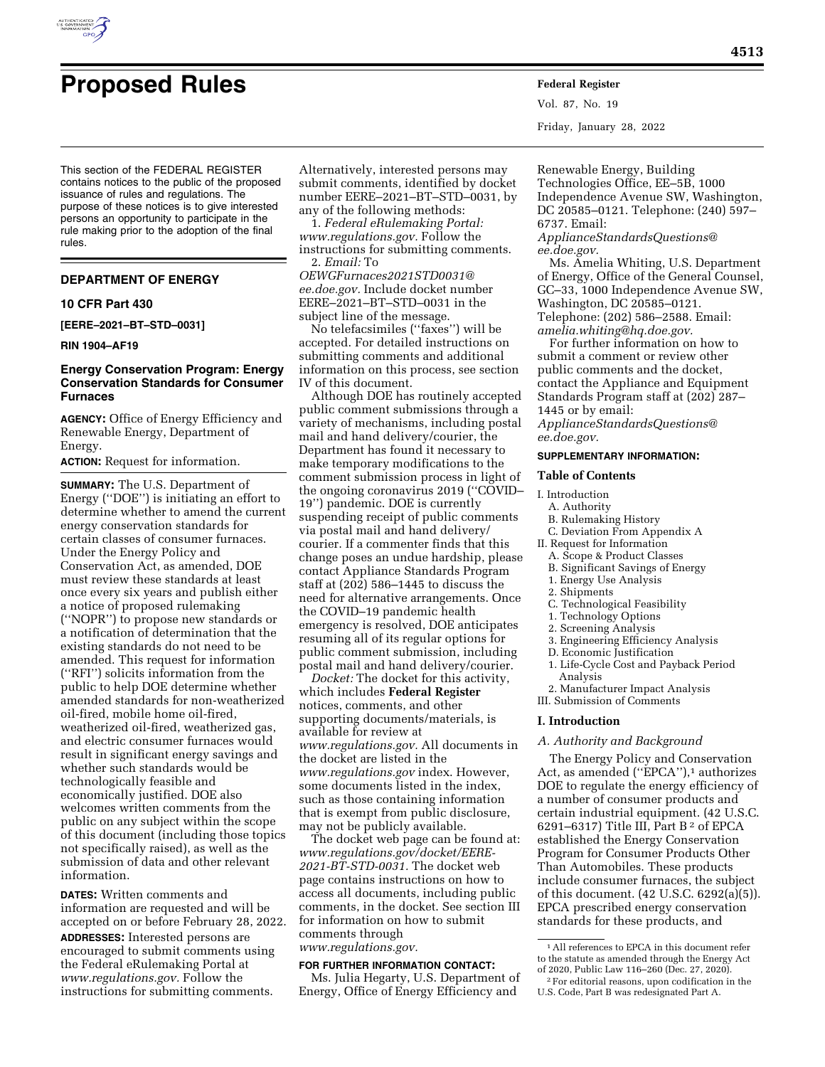

# **Proposed Rules Federal Register**

Vol. 87, No. 19 Friday, January 28, 2022

This section of the FEDERAL REGISTER contains notices to the public of the proposed issuance of rules and regulations. The purpose of these notices is to give interested persons an opportunity to participate in the rule making prior to the adoption of the final rules.

## **DEPARTMENT OF ENERGY**

## **10 CFR Part 430**

**[EERE–2021–BT–STD–0031]** 

# **RIN 1904–AF19**

# **Energy Conservation Program: Energy Conservation Standards for Consumer Furnaces**

**AGENCY:** Office of Energy Efficiency and Renewable Energy, Department of Energy.

**ACTION:** Request for information.

**SUMMARY:** The U.S. Department of Energy (''DOE'') is initiating an effort to determine whether to amend the current energy conservation standards for certain classes of consumer furnaces. Under the Energy Policy and Conservation Act, as amended, DOE must review these standards at least once every six years and publish either a notice of proposed rulemaking (''NOPR'') to propose new standards or a notification of determination that the existing standards do not need to be amended. This request for information (''RFI'') solicits information from the public to help DOE determine whether amended standards for non-weatherized oil-fired, mobile home oil-fired, weatherized oil-fired, weatherized gas, and electric consumer furnaces would result in significant energy savings and whether such standards would be technologically feasible and economically justified. DOE also welcomes written comments from the public on any subject within the scope of this document (including those topics not specifically raised), as well as the submission of data and other relevant information.

**DATES:** Written comments and information are requested and will be accepted on or before February 28, 2022.

**ADDRESSES:** Interested persons are encouraged to submit comments using the Federal eRulemaking Portal at *[www.regulations.gov.](http://www.regulations.gov)* Follow the instructions for submitting comments.

Alternatively, interested persons may submit comments, identified by docket number EERE–2021–BT–STD–0031, by any of the following methods:

1. *Federal eRulemaking Portal: [www.regulations.gov.](http://www.regulations.gov)* Follow the instructions for submitting comments. 2. *Email:* To

*[OEWGFurnaces2021STD0031@](mailto:OEWGFurnaces2021STD0031@ee.doe.gov) [ee.doe.gov.](mailto:OEWGFurnaces2021STD0031@ee.doe.gov)* Include docket number EERE–2021–BT–STD–0031 in the subject line of the message.

No telefacsimiles (''faxes'') will be accepted. For detailed instructions on submitting comments and additional information on this process, see section IV of this document.

Although DOE has routinely accepted public comment submissions through a variety of mechanisms, including postal mail and hand delivery/courier, the Department has found it necessary to make temporary modifications to the comment submission process in light of the ongoing coronavirus 2019 (''COVID– 19'') pandemic. DOE is currently suspending receipt of public comments via postal mail and hand delivery/ courier. If a commenter finds that this change poses an undue hardship, please contact Appliance Standards Program staff at (202) 586–1445 to discuss the need for alternative arrangements. Once the COVID–19 pandemic health emergency is resolved, DOE anticipates resuming all of its regular options for public comment submission, including postal mail and hand delivery/courier.

*Docket:* The docket for this activity, which includes **Federal Register**  notices, comments, and other supporting documents/materials, is available for review at *[www.regulations.gov.](http://www.regulations.gov)* All documents in the docket are listed in the *[www.regulations.gov](http://www.regulations.gov)* index. However, some documents listed in the index, such as those containing information that is exempt from public disclosure, may not be publicly available.

The docket web page can be found at: *[www.regulations.gov/docket/EERE-](http://www.regulations.gov/docket/EERE-2021-BT-STD-0031)[2021-BT-STD-0031.](http://www.regulations.gov/docket/EERE-2021-BT-STD-0031)* The docket web page contains instructions on how to access all documents, including public comments, in the docket. See section III for information on how to submit comments through *[www.regulations.gov.](http://www.regulations.gov)* 

# **FOR FURTHER INFORMATION CONTACT:**

Ms. Julia Hegarty, U.S. Department of Energy, Office of Energy Efficiency and

Renewable Energy, Building Technologies Office, EE–5B, 1000 Independence Avenue SW, Washington, DC 20585–0121. Telephone: (240) 597– 6737. Email:

*[ApplianceStandardsQuestions@](mailto:ApplianceStandardsQuestions@ee.doe.gov) [ee.doe.gov.](mailto:ApplianceStandardsQuestions@ee.doe.gov)* 

Ms. Amelia Whiting, U.S. Department of Energy, Office of the General Counsel, GC–33, 1000 Independence Avenue SW, Washington, DC 20585–0121. Telephone: (202) 586–2588. Email:

*[amelia.whiting@hq.doe.gov.](mailto:amelia.whiting@hq.doe.gov)* 

For further information on how to submit a comment or review other public comments and the docket, contact the Appliance and Equipment Standards Program staff at (202) 287– 1445 or by email:

*[ApplianceStandardsQuestions@](mailto:ApplianceStandardsQuestions@ee.doe.gov) [ee.doe.gov.](mailto:ApplianceStandardsQuestions@ee.doe.gov)* 

# **SUPPLEMENTARY INFORMATION:**

## **Table of Contents**

- I. Introduction
	- A. Authority
	- B. Rulemaking History C. Deviation From Appendix A
- II. Request for Information
- A. Scope & Product Classes
- B. Significant Savings of Energy
- 1. Energy Use Analysis
- 2. Shipments
- C. Technological Feasibility
- 1. Technology Options
- 2. Screening Analysis
- 3. Engineering Efficiency Analysis
- D. Economic Justification
- 1. Life-Cycle Cost and Payback Period Analysis

2. Manufacturer Impact Analysis III. Submission of Comments

## **I. Introduction**

# *A. Authority and Background*

The Energy Policy and Conservation Act, as amended ("EPCA"),<sup>1</sup> authorizes DOE to regulate the energy efficiency of a number of consumer products and certain industrial equipment. (42 U.S.C. 6291–6317) Title III, Part B 2 of EPCA established the Energy Conservation Program for Consumer Products Other Than Automobiles. These products include consumer furnaces, the subject of this document. (42 U.S.C. 6292(a)(5)). EPCA prescribed energy conservation standards for these products, and

<sup>1</sup>All references to EPCA in this document refer to the statute as amended through the Energy Act of 2020, Public Law 116–260 (Dec. 27, 2020).

<sup>2</sup>For editorial reasons, upon codification in the U.S. Code, Part B was redesignated Part A.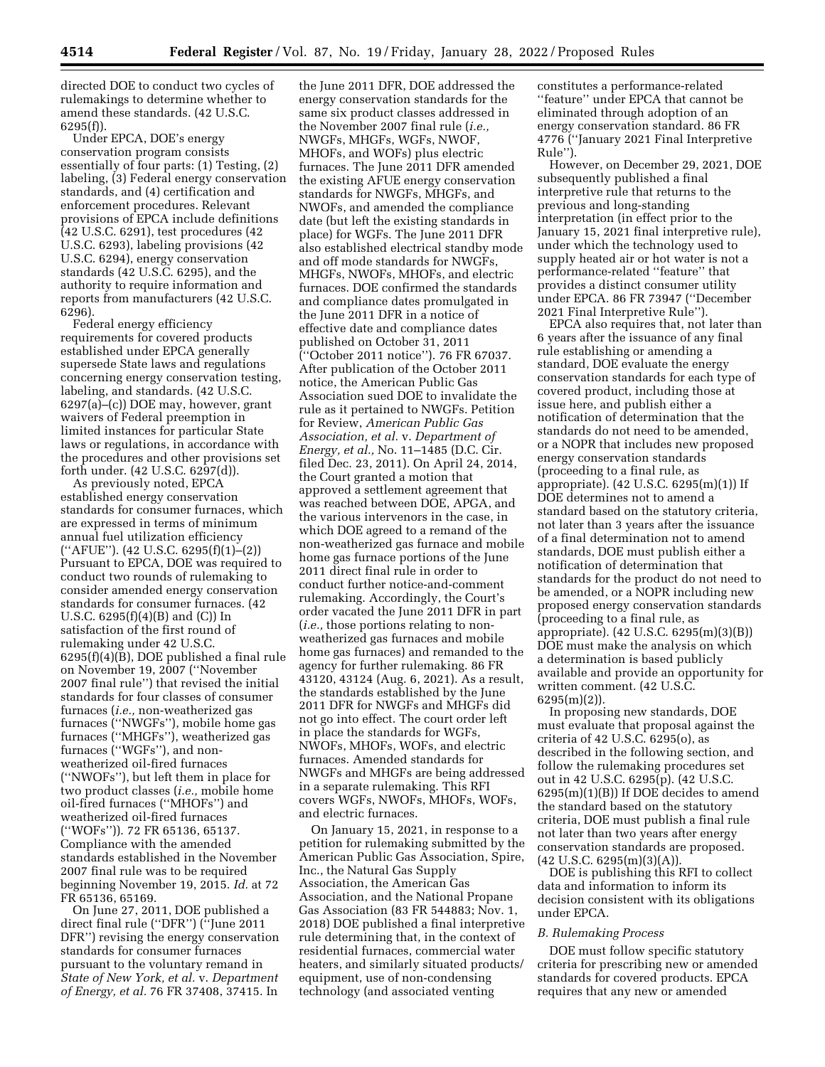directed DOE to conduct two cycles of rulemakings to determine whether to amend these standards. (42 U.S.C. 6295(f)).

Under EPCA, DOE's energy conservation program consists essentially of four parts: (1) Testing, (2) labeling, (3) Federal energy conservation standards, and (4) certification and enforcement procedures. Relevant provisions of EPCA include definitions (42 U.S.C. 6291), test procedures (42 U.S.C. 6293), labeling provisions (42 U.S.C. 6294), energy conservation standards (42 U.S.C. 6295), and the authority to require information and reports from manufacturers (42 U.S.C. 6296).

Federal energy efficiency requirements for covered products established under EPCA generally supersede State laws and regulations concerning energy conservation testing, labeling, and standards. (42 U.S.C. 6297(a)–(c)) DOE may, however, grant waivers of Federal preemption in limited instances for particular State laws or regulations, in accordance with the procedures and other provisions set forth under. (42 U.S.C. 6297(d)).

As previously noted, EPCA established energy conservation standards for consumer furnaces, which are expressed in terms of minimum annual fuel utilization efficiency (''AFUE''). (42 U.S.C. 6295(f)(1)–(2)) Pursuant to EPCA, DOE was required to conduct two rounds of rulemaking to consider amended energy conservation standards for consumer furnaces. (42 U.S.C. 6295(f)(4)(B) and (C)) In satisfaction of the first round of rulemaking under 42 U.S.C. 6295(f)(4)(B), DOE published a final rule on November 19, 2007 (''November 2007 final rule'') that revised the initial standards for four classes of consumer furnaces (*i.e.,* non-weatherized gas furnaces (''NWGFs''), mobile home gas furnaces (''MHGFs''), weatherized gas furnaces (''WGFs''), and nonweatherized oil-fired furnaces (''NWOFs''), but left them in place for two product classes (*i.e.,* mobile home oil-fired furnaces (''MHOFs'') and weatherized oil-fired furnaces (''WOFs'')). 72 FR 65136, 65137. Compliance with the amended standards established in the November 2007 final rule was to be required beginning November 19, 2015. *Id.* at 72 FR 65136, 65169.

On June 27, 2011, DOE published a direct final rule (''DFR'') (''June 2011 DFR'') revising the energy conservation standards for consumer furnaces pursuant to the voluntary remand in *State of New York, et al.* v. *Department of Energy, et al.* 76 FR 37408, 37415. In

the June 2011 DFR, DOE addressed the energy conservation standards for the same six product classes addressed in the November 2007 final rule (*i.e.,*  NWGFs, MHGFs, WGFs, NWOF, MHOFs, and WOFs) plus electric furnaces. The June 2011 DFR amended the existing AFUE energy conservation standards for NWGFs, MHGFs, and NWOFs, and amended the compliance date (but left the existing standards in place) for WGFs. The June 2011 DFR also established electrical standby mode and off mode standards for NWGFs, MHGFs, NWOFs, MHOFs, and electric furnaces. DOE confirmed the standards and compliance dates promulgated in the June 2011 DFR in a notice of effective date and compliance dates published on October 31, 2011 (''October 2011 notice''). 76 FR 67037. After publication of the October 2011 notice, the American Public Gas Association sued DOE to invalidate the rule as it pertained to NWGFs. Petition for Review, *American Public Gas Association, et al.* v. *Department of Energy, et al.,* No. 11–1485 (D.C. Cir. filed Dec. 23, 2011). On April 24, 2014, the Court granted a motion that approved a settlement agreement that was reached between DOE, APGA, and the various intervenors in the case, in which DOE agreed to a remand of the non-weatherized gas furnace and mobile home gas furnace portions of the June 2011 direct final rule in order to conduct further notice-and-comment rulemaking. Accordingly, the Court's order vacated the June 2011 DFR in part (*i.e.,* those portions relating to nonweatherized gas furnaces and mobile home gas furnaces) and remanded to the agency for further rulemaking. 86 FR 43120, 43124 (Aug. 6, 2021). As a result, the standards established by the June 2011 DFR for NWGFs and MHGFs did not go into effect. The court order left in place the standards for WGFs, NWOFs, MHOFs, WOFs, and electric furnaces. Amended standards for NWGFs and MHGFs are being addressed in a separate rulemaking. This RFI covers WGFs, NWOFs, MHOFs, WOFs, and electric furnaces.

On January 15, 2021, in response to a petition for rulemaking submitted by the American Public Gas Association, Spire, Inc., the Natural Gas Supply Association, the American Gas Association, and the National Propane Gas Association (83 FR 544883; Nov. 1, 2018) DOE published a final interpretive rule determining that, in the context of residential furnaces, commercial water heaters, and similarly situated products/ equipment, use of non-condensing technology (and associated venting

constitutes a performance-related ''feature'' under EPCA that cannot be eliminated through adoption of an energy conservation standard. 86 FR 4776 (''January 2021 Final Interpretive Rule'').

However, on December 29, 2021, DOE subsequently published a final interpretive rule that returns to the previous and long-standing interpretation (in effect prior to the January 15, 2021 final interpretive rule), under which the technology used to supply heated air or hot water is not a performance-related ''feature'' that provides a distinct consumer utility under EPCA. 86 FR 73947 (''December 2021 Final Interpretive Rule'').

EPCA also requires that, not later than 6 years after the issuance of any final rule establishing or amending a standard, DOE evaluate the energy conservation standards for each type of covered product, including those at issue here, and publish either a notification of determination that the standards do not need to be amended, or a NOPR that includes new proposed energy conservation standards (proceeding to a final rule, as appropriate). (42 U.S.C. 6295(m)(1)) If DOE determines not to amend a standard based on the statutory criteria, not later than 3 years after the issuance of a final determination not to amend standards, DOE must publish either a notification of determination that standards for the product do not need to be amended, or a NOPR including new proposed energy conservation standards (proceeding to a final rule, as appropriate). (42 U.S.C. 6295(m)(3)(B)) DOE must make the analysis on which a determination is based publicly available and provide an opportunity for written comment. (42 U.S.C.  $6295(m)(2)$ ).

In proposing new standards, DOE must evaluate that proposal against the criteria of 42 U.S.C. 6295(o), as described in the following section, and follow the rulemaking procedures set out in 42 U.S.C. 6295(p). (42 U.S.C. 6295(m)(1)(B)) If DOE decides to amend the standard based on the statutory criteria, DOE must publish a final rule not later than two years after energy conservation standards are proposed.  $(42 \text{ U.S.C. } 6295 \text{ (m)}(3)(A)).$ 

DOE is publishing this RFI to collect data and information to inform its decision consistent with its obligations under EPCA.

#### *B. Rulemaking Process*

DOE must follow specific statutory criteria for prescribing new or amended standards for covered products. EPCA requires that any new or amended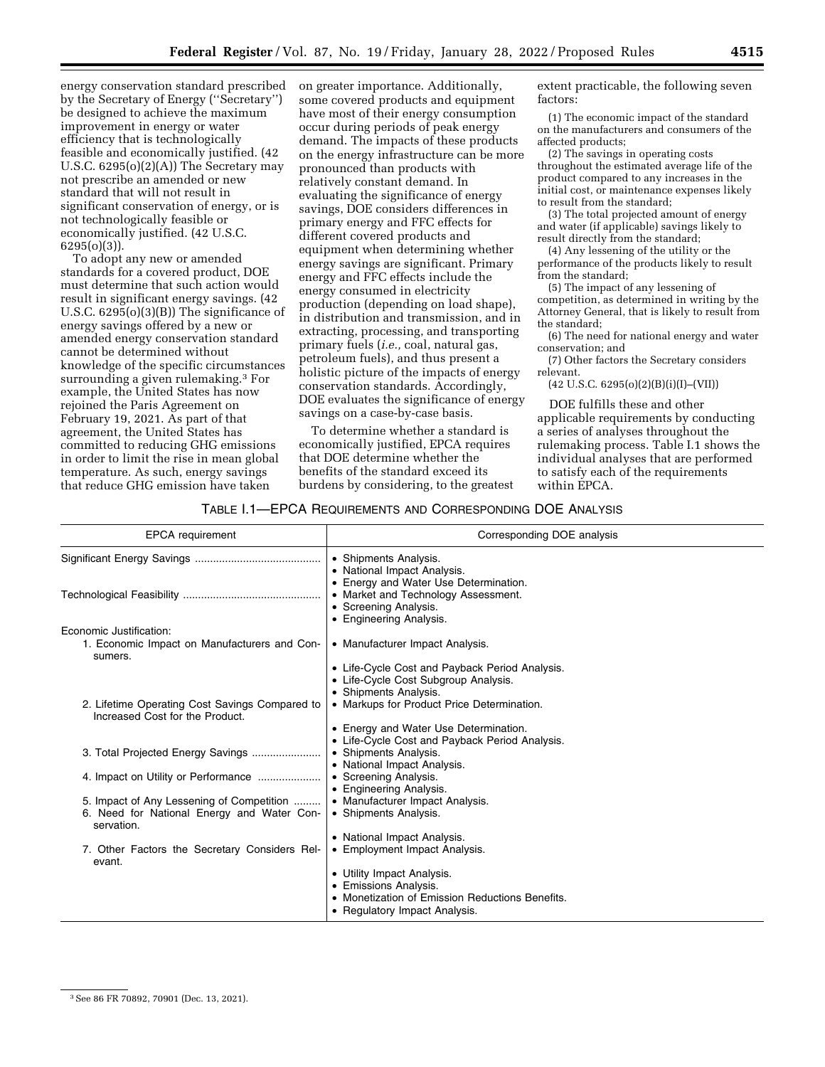energy conservation standard prescribed by the Secretary of Energy (''Secretary'') be designed to achieve the maximum improvement in energy or water efficiency that is technologically feasible and economically justified. (42 U.S.C. 6295(o)(2)(A)) The Secretary may not prescribe an amended or new standard that will not result in significant conservation of energy, or is not technologically feasible or economically justified. (42 U.S.C. 6295(o)(3)).

To adopt any new or amended standards for a covered product, DOE must determine that such action would result in significant energy savings. (42 U.S.C. 6295(o)(3)(B)) The significance of energy savings offered by a new or amended energy conservation standard cannot be determined without knowledge of the specific circumstances surrounding a given rulemaking.3 For example, the United States has now rejoined the Paris Agreement on February 19, 2021. As part of that agreement, the United States has committed to reducing GHG emissions in order to limit the rise in mean global temperature. As such, energy savings that reduce GHG emission have taken

on greater importance. Additionally, some covered products and equipment have most of their energy consumption occur during periods of peak energy demand. The impacts of these products on the energy infrastructure can be more pronounced than products with relatively constant demand. In evaluating the significance of energy savings, DOE considers differences in primary energy and FFC effects for different covered products and equipment when determining whether energy savings are significant. Primary energy and FFC effects include the energy consumed in electricity production (depending on load shape), in distribution and transmission, and in extracting, processing, and transporting primary fuels (*i.e.,* coal, natural gas, petroleum fuels), and thus present a holistic picture of the impacts of energy conservation standards. Accordingly, DOE evaluates the significance of energy savings on a case-by-case basis.

To determine whether a standard is economically justified, EPCA requires that DOE determine whether the benefits of the standard exceed its burdens by considering, to the greatest extent practicable, the following seven factors:

(1) The economic impact of the standard on the manufacturers and consumers of the affected products;

(2) The savings in operating costs throughout the estimated average life of the product compared to any increases in the initial cost, or maintenance expenses likely to result from the standard;

(3) The total projected amount of energy and water (if applicable) savings likely to result directly from the standard;

(4) Any lessening of the utility or the performance of the products likely to result from the standard;

(5) The impact of any lessening of competition, as determined in writing by the Attorney General, that is likely to result from the standard;

(6) The need for national energy and water conservation; and

(7) Other factors the Secretary considers relevant.

 $(42 \text{ U.S.C. } 6295(0)(2)(B)(i)(I)–(VII))$ 

DOE fulfills these and other applicable requirements by conducting a series of analyses throughout the rulemaking process. Table I.1 shows the individual analyses that are performed to satisfy each of the requirements within EPCA.

# TABLE I.1—EPCA REQUIREMENTS AND CORRESPONDING DOE ANALYSIS

| <b>EPCA</b> requirement                                                           | Corresponding DOE analysis                                                                                                       |
|-----------------------------------------------------------------------------------|----------------------------------------------------------------------------------------------------------------------------------|
|                                                                                   | • Shipments Analysis.<br>• National Impact Analysis.                                                                             |
|                                                                                   | • Energy and Water Use Determination.<br>• Market and Technology Assessment.<br>• Screening Analysis.<br>• Engineering Analysis. |
| Economic Justification:                                                           |                                                                                                                                  |
| 1. Economic Impact on Manufacturers and Con-<br>sumers.                           | • Manufacturer Impact Analysis.                                                                                                  |
|                                                                                   | • Life-Cycle Cost and Payback Period Analysis.<br>• Life-Cycle Cost Subgroup Analysis.<br>• Shipments Analysis.                  |
| 2. Lifetime Operating Cost Savings Compared to<br>Increased Cost for the Product. | • Markups for Product Price Determination.                                                                                       |
|                                                                                   | • Energy and Water Use Determination.<br>• Life-Cycle Cost and Payback Period Analysis.                                          |
| 3. Total Projected Energy Savings                                                 | • Shipments Analysis.<br>• National Impact Analysis.                                                                             |
|                                                                                   | • Screening Analysis.<br>• Engineering Analysis.                                                                                 |
| 5. Impact of Any Lessening of Competition                                         | • Manufacturer Impact Analysis.                                                                                                  |
| 6. Need for National Energy and Water Con-<br>servation.                          | • Shipments Analysis.                                                                                                            |
|                                                                                   | • National Impact Analysis.                                                                                                      |
| 7. Other Factors the Secretary Considers Rel-<br>evant.                           | • Employment Impact Analysis.                                                                                                    |
|                                                                                   | • Utility Impact Analysis.                                                                                                       |
|                                                                                   | • Emissions Analysis.                                                                                                            |
|                                                                                   | • Monetization of Emission Reductions Benefits.                                                                                  |
|                                                                                   | • Regulatory Impact Analysis.                                                                                                    |
|                                                                                   |                                                                                                                                  |

<sup>3</sup>See 86 FR 70892, 70901 (Dec. 13, 2021).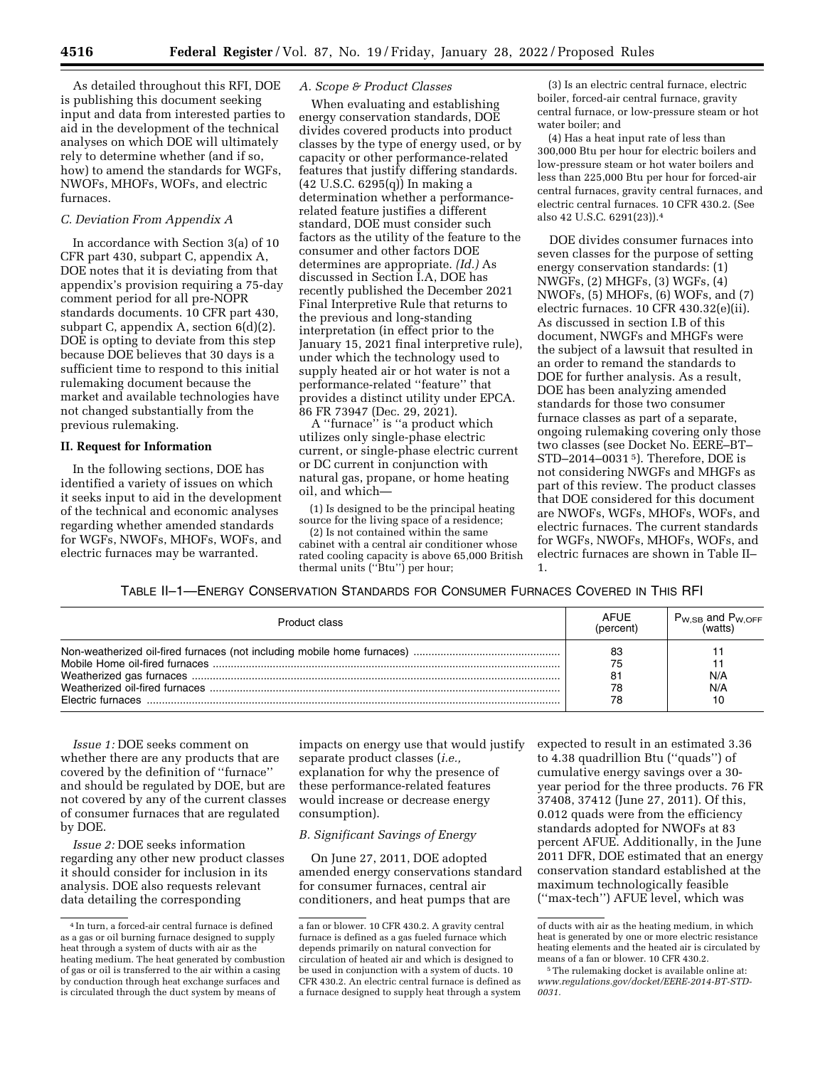As detailed throughout this RFI, DOE is publishing this document seeking input and data from interested parties to aid in the development of the technical analyses on which DOE will ultimately rely to determine whether (and if so, how) to amend the standards for WGFs, NWOFs, MHOFs, WOFs, and electric furnaces.

# *C. Deviation From Appendix A*

In accordance with Section 3(a) of 10 CFR part 430, subpart C, appendix A, DOE notes that it is deviating from that appendix's provision requiring a 75-day comment period for all pre-NOPR standards documents. 10 CFR part 430, subpart C, appendix A, section 6(d)(2). DOE is opting to deviate from this step because DOE believes that 30 days is a sufficient time to respond to this initial rulemaking document because the market and available technologies have not changed substantially from the previous rulemaking.

## **II. Request for Information**

In the following sections, DOE has identified a variety of issues on which it seeks input to aid in the development of the technical and economic analyses regarding whether amended standards for WGFs, NWOFs, MHOFs, WOFs, and electric furnaces may be warranted.

# *A. Scope & Product Classes*

When evaluating and establishing energy conservation standards, DOE divides covered products into product classes by the type of energy used, or by capacity or other performance-related features that justify differing standards. (42 U.S.C. 6295(q)) In making a determination whether a performancerelated feature justifies a different standard, DOE must consider such factors as the utility of the feature to the consumer and other factors DOE determines are appropriate. *(Id.)* As discussed in Section I.A, DOE has recently published the December 2021 Final Interpretive Rule that returns to the previous and long-standing interpretation (in effect prior to the January 15, 2021 final interpretive rule), under which the technology used to supply heated air or hot water is not a performance-related ''feature'' that provides a distinct utility under EPCA. 86 FR 73947 (Dec. 29, 2021).

A ''furnace'' is ''a product which utilizes only single-phase electric current, or single-phase electric current or DC current in conjunction with natural gas, propane, or home heating oil, and which—

(1) Is designed to be the principal heating source for the living space of a residence;

(2) Is not contained within the same cabinet with a central air conditioner whose rated cooling capacity is above 65,000 British thermal units (''Btu'') per hour;

(3) Is an electric central furnace, electric boiler, forced-air central furnace, gravity central furnace, or low-pressure steam or hot water boiler; and

(4) Has a heat input rate of less than 300,000 Btu per hour for electric boilers and low-pressure steam or hot water boilers and less than 225,000 Btu per hour for forced-air central furnaces, gravity central furnaces, and electric central furnaces. 10 CFR 430.2. (See also 42 U.S.C. 6291(23)).4

DOE divides consumer furnaces into seven classes for the purpose of setting energy conservation standards: (1) NWGFs, (2) MHGFs, (3) WGFs, (4) NWOFs, (5) MHOFs, (6) WOFs, and (7) electric furnaces. 10 CFR 430.32(e)(ii). As discussed in section I.B of this document, NWGFs and MHGFs were the subject of a lawsuit that resulted in an order to remand the standards to DOE for further analysis. As a result, DOE has been analyzing amended standards for those two consumer furnace classes as part of a separate, ongoing rulemaking covering only those two classes (see Docket No. EERE–BT– STD–2014–0031 5). Therefore, DOE is not considering NWGFs and MHGFs as part of this review. The product classes that DOE considered for this document are NWOFs, WGFs, MHOFs, WOFs, and electric furnaces. The current standards for WGFs, NWOFs, MHOFs, WOFs, and electric furnaces are shown in Table II– 1.

# TABLE II–1—ENERGY CONSERVATION STANDARDS FOR CONSUMER FURNACES COVERED IN THIS RFI

| Product class | <b>AFUE</b><br>(percent) | $P_{W,SB}$ and $P_{W,OFF}$<br>(watts) |
|---------------|--------------------------|---------------------------------------|
|               | 83<br>75                 | N/A<br>N/A<br>10                      |

*Issue 1:* DOE seeks comment on whether there are any products that are covered by the definition of ''furnace'' and should be regulated by DOE, but are not covered by any of the current classes of consumer furnaces that are regulated by DOE.

*Issue 2:* DOE seeks information regarding any other new product classes it should consider for inclusion in its analysis. DOE also requests relevant data detailing the corresponding

impacts on energy use that would justify separate product classes (*i.e.,*  explanation for why the presence of these performance-related features would increase or decrease energy consumption).

# *B. Significant Savings of Energy*

On June 27, 2011, DOE adopted amended energy conservations standard for consumer furnaces, central air conditioners, and heat pumps that are

expected to result in an estimated 3.36 to 4.38 quadrillion Btu (''quads'') of cumulative energy savings over a 30 year period for the three products. 76 FR 37408, 37412 (June 27, 2011). Of this, 0.012 quads were from the efficiency standards adopted for NWOFs at 83 percent AFUE. Additionally, in the June 2011 DFR, DOE estimated that an energy conservation standard established at the maximum technologically feasible (''max-tech'') AFUE level, which was

<sup>4</sup> In turn, a forced-air central furnace is defined as a gas or oil burning furnace designed to supply heat through a system of ducts with air as the heating medium. The heat generated by combustion of gas or oil is transferred to the air within a casing by conduction through heat exchange surfaces and is circulated through the duct system by means of

a fan or blower. 10 CFR 430.2. A gravity central furnace is defined as a gas fueled furnace which depends primarily on natural convection for circulation of heated air and which is designed to be used in conjunction with a system of ducts. 10 CFR 430.2. An electric central furnace is defined as a furnace designed to supply heat through a system

of ducts with air as the heating medium, in which heat is generated by one or more electric resistance heating elements and the heated air is circulated by means of a fan or blower. 10 CFR 430.2.

<sup>5</sup>The rulemaking docket is available online at: *[www.regulations.gov/docket/EERE-2014-BT-STD-](http://www.regulations.gov/docket/EERE-2014-BT-STD-0031)[0031.](http://www.regulations.gov/docket/EERE-2014-BT-STD-0031)*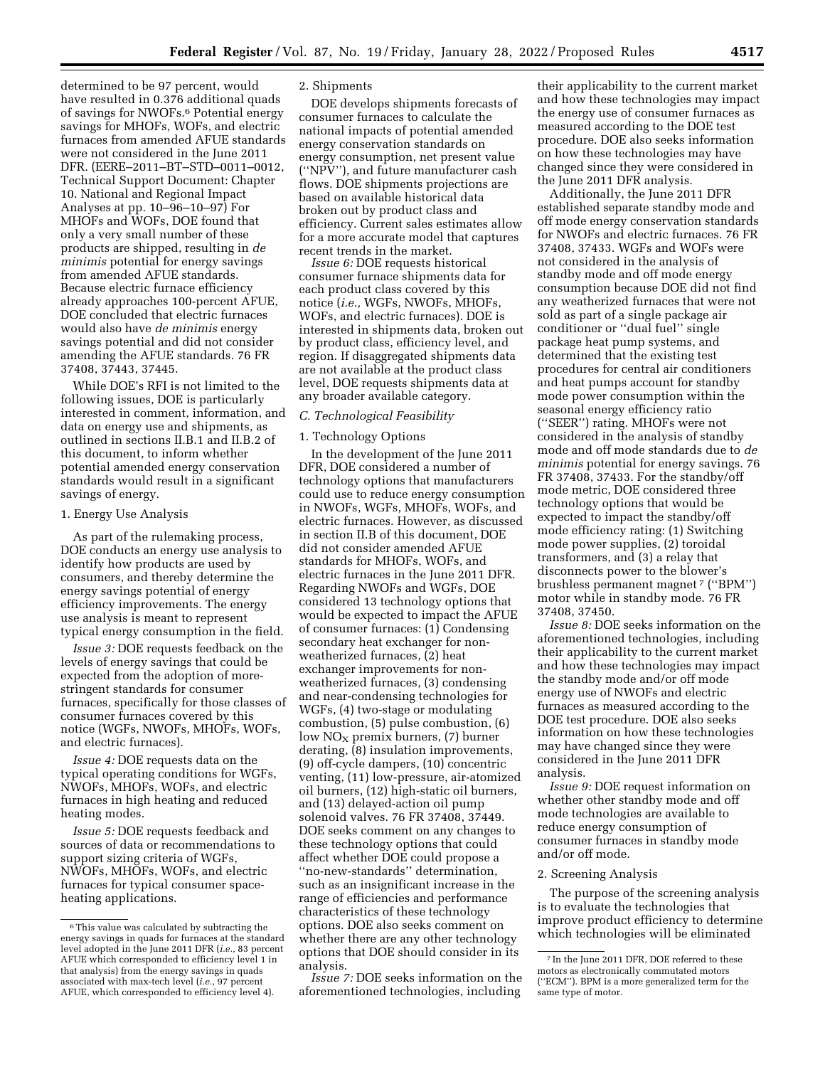determined to be 97 percent, would have resulted in 0.376 additional quads of savings for NWOFs.6 Potential energy savings for MHOFs, WOFs, and electric furnaces from amended AFUE standards were not considered in the June 2011 DFR. (EERE–2011–BT–STD–0011–0012, Technical Support Document: Chapter 10. National and Regional Impact Analyses at pp. 10–96–10–97) For MHOFs and WOFs, DOE found that only a very small number of these products are shipped, resulting in *de minimis* potential for energy savings from amended AFUE standards. Because electric furnace efficiency already approaches 100-percent AFUE, DOE concluded that electric furnaces would also have *de minimis* energy savings potential and did not consider amending the AFUE standards. 76 FR 37408, 37443, 37445.

While DOE's RFI is not limited to the following issues, DOE is particularly interested in comment, information, and data on energy use and shipments, as outlined in sections II.B.1 and II.B.2 of this document, to inform whether potential amended energy conservation standards would result in a significant savings of energy.

#### 1. Energy Use Analysis

As part of the rulemaking process, DOE conducts an energy use analysis to identify how products are used by consumers, and thereby determine the energy savings potential of energy efficiency improvements. The energy use analysis is meant to represent typical energy consumption in the field.

*Issue 3:* DOE requests feedback on the levels of energy savings that could be expected from the adoption of morestringent standards for consumer furnaces, specifically for those classes of consumer furnaces covered by this notice (WGFs, NWOFs, MHOFs, WOFs, and electric furnaces).

*Issue 4:* DOE requests data on the typical operating conditions for WGFs, NWOFs, MHOFs, WOFs, and electric furnaces in high heating and reduced heating modes.

*Issue 5:* DOE requests feedback and sources of data or recommendations to support sizing criteria of WGFs, NWOFs, MHOFs, WOFs, and electric furnaces for typical consumer spaceheating applications.

# 2. Shipments

DOE develops shipments forecasts of consumer furnaces to calculate the national impacts of potential amended energy conservation standards on energy consumption, net present value (''NPV''), and future manufacturer cash flows. DOE shipments projections are based on available historical data broken out by product class and efficiency. Current sales estimates allow for a more accurate model that captures recent trends in the market.

*Issue 6:* DOE requests historical consumer furnace shipments data for each product class covered by this notice (*i.e.,* WGFs, NWOFs, MHOFs, WOFs, and electric furnaces). DOE is interested in shipments data, broken out by product class, efficiency level, and region. If disaggregated shipments data are not available at the product class level, DOE requests shipments data at any broader available category.

## *C. Technological Feasibility*

## 1. Technology Options

In the development of the June 2011 DFR, DOE considered a number of technology options that manufacturers could use to reduce energy consumption in NWOFs, WGFs, MHOFs, WOFs, and electric furnaces. However, as discussed in section II.B of this document, DOE did not consider amended AFUE standards for MHOFs, WOFs, and electric furnaces in the June 2011 DFR. Regarding NWOFs and WGFs, DOE considered 13 technology options that would be expected to impact the AFUE of consumer furnaces: (1) Condensing secondary heat exchanger for nonweatherized furnaces, (2) heat exchanger improvements for nonweatherized furnaces, (3) condensing and near-condensing technologies for WGFs, (4) two-stage or modulating combustion, (5) pulse combustion, (6)  $\text{low NO}_X$  premix burners, (7) burner derating, (8) insulation improvements, (9) off-cycle dampers, (10) concentric venting, (11) low-pressure, air-atomized oil burners, (12) high-static oil burners, and (13) delayed-action oil pump solenoid valves. 76 FR 37408, 37449. DOE seeks comment on any changes to these technology options that could affect whether DOE could propose a ''no-new-standards'' determination, such as an insignificant increase in the range of efficiencies and performance characteristics of these technology options. DOE also seeks comment on whether there are any other technology options that DOE should consider in its analysis.

*Issue 7:* DOE seeks information on the aforementioned technologies, including

their applicability to the current market and how these technologies may impact the energy use of consumer furnaces as measured according to the DOE test procedure. DOE also seeks information on how these technologies may have changed since they were considered in the June 2011 DFR analysis.

Additionally, the June 2011 DFR established separate standby mode and off mode energy conservation standards for NWOFs and electric furnaces. 76 FR 37408, 37433. WGFs and WOFs were not considered in the analysis of standby mode and off mode energy consumption because DOE did not find any weatherized furnaces that were not sold as part of a single package air conditioner or ''dual fuel'' single package heat pump systems, and determined that the existing test procedures for central air conditioners and heat pumps account for standby mode power consumption within the seasonal energy efficiency ratio (''SEER'') rating. MHOFs were not considered in the analysis of standby mode and off mode standards due to *de minimis* potential for energy savings. 76 FR 37408, 37433. For the standby/off mode metric, DOE considered three technology options that would be expected to impact the standby/off mode efficiency rating: (1) Switching mode power supplies, (2) toroidal transformers, and (3) a relay that disconnects power to the blower's brushless permanent magnet 7 (''BPM'') motor while in standby mode. 76 FR 37408, 37450.

*Issue 8:* DOE seeks information on the aforementioned technologies, including their applicability to the current market and how these technologies may impact the standby mode and/or off mode energy use of NWOFs and electric furnaces as measured according to the DOE test procedure. DOE also seeks information on how these technologies may have changed since they were considered in the June 2011 DFR analysis.

*Issue 9:* DOE request information on whether other standby mode and off mode technologies are available to reduce energy consumption of consumer furnaces in standby mode and/or off mode.

## 2. Screening Analysis

The purpose of the screening analysis is to evaluate the technologies that improve product efficiency to determine which technologies will be eliminated

<sup>6</sup>This value was calculated by subtracting the energy savings in quads for furnaces at the standard level adopted in the June 2011 DFR (*i.e.,* 83 percent AFUE which corresponded to efficiency level 1 in that analysis) from the energy savings in quads associated with max-tech level (*i.e.,* 97 percent AFUE, which corresponded to efficiency level 4).

<sup>7</sup> In the June 2011 DFR, DOE referred to these motors as electronically commutated motors (''ECM''). BPM is a more generalized term for the same type of motor.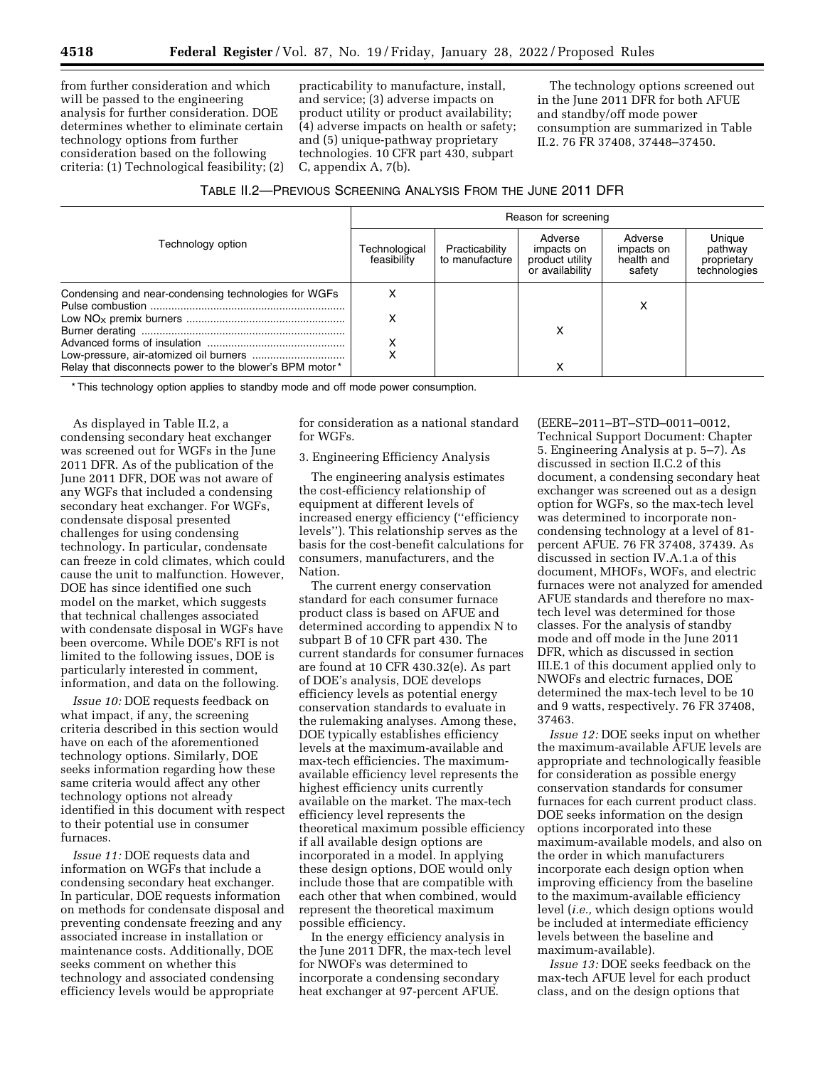from further consideration and which will be passed to the engineering analysis for further consideration. DOE determines whether to eliminate certain technology options from further consideration based on the following criteria: (1) Technological feasibility; (2)

practicability to manufacture, install, and service; (3) adverse impacts on product utility or product availability; (4) adverse impacts on health or safety; and (5) unique-pathway proprietary technologies. 10 CFR part 430, subpart C, appendix A, 7(b).

The technology options screened out in the June 2011 DFR for both AFUE and standby/off mode power consumption are summarized in Table II.2. 76 FR 37408, 37448–37450.

| Technology option                                       | Reason for screening         |                                  |                                                             |                                               |                                                  |  |
|---------------------------------------------------------|------------------------------|----------------------------------|-------------------------------------------------------------|-----------------------------------------------|--------------------------------------------------|--|
|                                                         | Technological<br>feasibility | Practicability<br>to manufacture | Adverse<br>impacts on<br>product utility<br>or availability | Adverse<br>impacts on<br>health and<br>safety | Unique<br>pathway<br>proprietary<br>technologies |  |
| Condensing and near-condensing technologies for WGFs    | х                            |                                  |                                                             | х                                             |                                                  |  |
|                                                         | х                            |                                  | x                                                           |                                               |                                                  |  |
| Relay that disconnects power to the blower's BPM motor* |                              |                                  | ⋏                                                           |                                               |                                                  |  |

\* This technology option applies to standby mode and off mode power consumption.

As displayed in Table II.2, a condensing secondary heat exchanger was screened out for WGFs in the June 2011 DFR. As of the publication of the June 2011 DFR, DOE was not aware of any WGFs that included a condensing secondary heat exchanger. For WGFs, condensate disposal presented challenges for using condensing technology. In particular, condensate can freeze in cold climates, which could cause the unit to malfunction. However, DOE has since identified one such model on the market, which suggests that technical challenges associated with condensate disposal in WGFs have been overcome. While DOE's RFI is not limited to the following issues, DOE is particularly interested in comment, information, and data on the following.

*Issue 10:* DOE requests feedback on what impact, if any, the screening criteria described in this section would have on each of the aforementioned technology options. Similarly, DOE seeks information regarding how these same criteria would affect any other technology options not already identified in this document with respect to their potential use in consumer furnaces.

*Issue 11:* DOE requests data and information on WGFs that include a condensing secondary heat exchanger. In particular, DOE requests information on methods for condensate disposal and preventing condensate freezing and any associated increase in installation or maintenance costs. Additionally, DOE seeks comment on whether this technology and associated condensing efficiency levels would be appropriate

for consideration as a national standard for WGFs.

3. Engineering Efficiency Analysis

The engineering analysis estimates the cost-efficiency relationship of equipment at different levels of increased energy efficiency (''efficiency levels''). This relationship serves as the basis for the cost-benefit calculations for consumers, manufacturers, and the Nation.

The current energy conservation standard for each consumer furnace product class is based on AFUE and determined according to appendix N to subpart B of 10 CFR part 430. The current standards for consumer furnaces are found at 10 CFR 430.32(e). As part of DOE's analysis, DOE develops efficiency levels as potential energy conservation standards to evaluate in the rulemaking analyses. Among these, DOE typically establishes efficiency levels at the maximum-available and max-tech efficiencies. The maximumavailable efficiency level represents the highest efficiency units currently available on the market. The max-tech efficiency level represents the theoretical maximum possible efficiency if all available design options are incorporated in a model. In applying these design options, DOE would only include those that are compatible with each other that when combined, would represent the theoretical maximum possible efficiency.

In the energy efficiency analysis in the June 2011 DFR, the max-tech level for NWOFs was determined to incorporate a condensing secondary heat exchanger at 97-percent AFUE.

(EERE–2011–BT–STD–0011–0012, Technical Support Document: Chapter 5. Engineering Analysis at p. 5–7). As discussed in section II.C.2 of this document, a condensing secondary heat exchanger was screened out as a design option for WGFs, so the max-tech level was determined to incorporate noncondensing technology at a level of 81 percent AFUE. 76 FR 37408, 37439. As discussed in section IV.A.1.a of this document, MHOFs, WOFs, and electric furnaces were not analyzed for amended AFUE standards and therefore no maxtech level was determined for those classes. For the analysis of standby mode and off mode in the June 2011 DFR, which as discussed in section III.E.1 of this document applied only to NWOFs and electric furnaces, DOE determined the max-tech level to be 10 and 9 watts, respectively. 76 FR 37408, 37463.

*Issue 12:* DOE seeks input on whether the maximum-available AFUE levels are appropriate and technologically feasible for consideration as possible energy conservation standards for consumer furnaces for each current product class. DOE seeks information on the design options incorporated into these maximum-available models, and also on the order in which manufacturers incorporate each design option when improving efficiency from the baseline to the maximum-available efficiency level (*i.e.,* which design options would be included at intermediate efficiency levels between the baseline and maximum-available).

*Issue 13:* DOE seeks feedback on the max-tech AFUE level for each product class, and on the design options that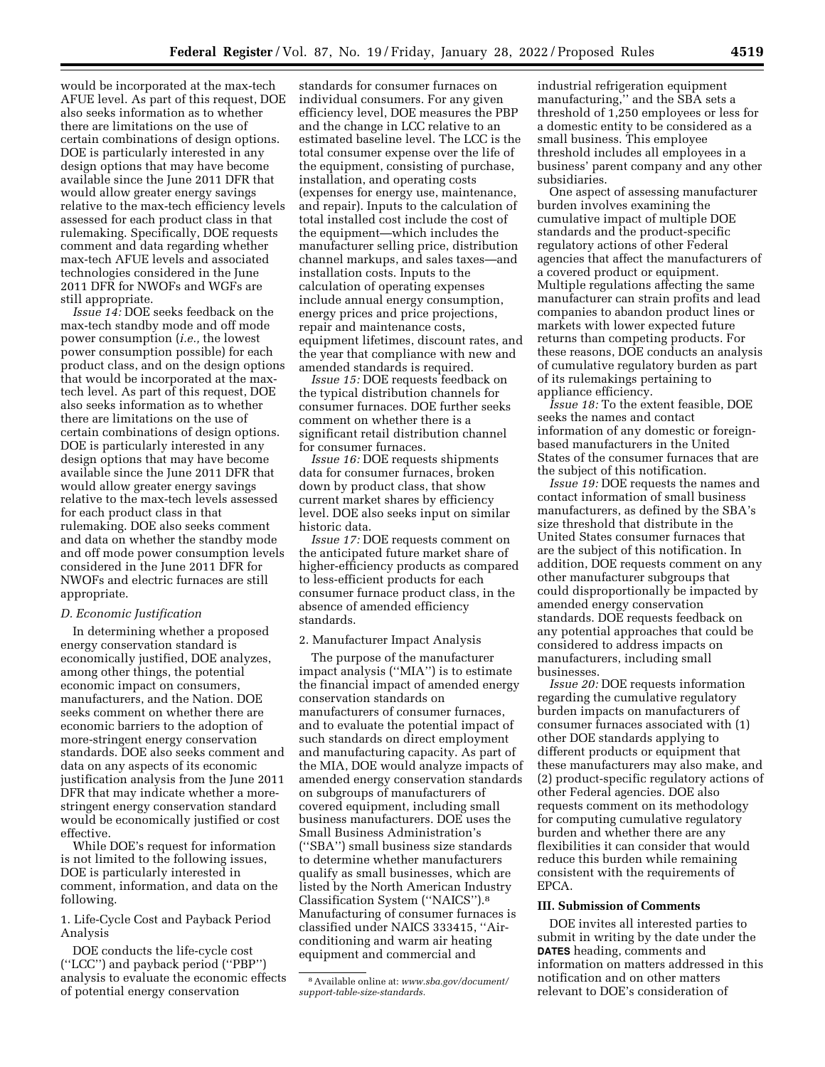would be incorporated at the max-tech AFUE level. As part of this request, DOE also seeks information as to whether there are limitations on the use of certain combinations of design options. DOE is particularly interested in any design options that may have become available since the June 2011 DFR that would allow greater energy savings relative to the max-tech efficiency levels assessed for each product class in that rulemaking. Specifically, DOE requests comment and data regarding whether max-tech AFUE levels and associated technologies considered in the June 2011 DFR for NWOFs and WGFs are still appropriate.

*Issue 14:* DOE seeks feedback on the max-tech standby mode and off mode power consumption (*i.e.,* the lowest power consumption possible) for each product class, and on the design options that would be incorporated at the maxtech level. As part of this request, DOE also seeks information as to whether there are limitations on the use of certain combinations of design options. DOE is particularly interested in any design options that may have become available since the June 2011 DFR that would allow greater energy savings relative to the max-tech levels assessed for each product class in that rulemaking. DOE also seeks comment and data on whether the standby mode and off mode power consumption levels considered in the June 2011 DFR for NWOFs and electric furnaces are still appropriate.

## *D. Economic Justification*

In determining whether a proposed energy conservation standard is economically justified, DOE analyzes, among other things, the potential economic impact on consumers, manufacturers, and the Nation. DOE seeks comment on whether there are economic barriers to the adoption of more-stringent energy conservation standards. DOE also seeks comment and data on any aspects of its economic justification analysis from the June 2011 DFR that may indicate whether a morestringent energy conservation standard would be economically justified or cost effective.

While DOE's request for information is not limited to the following issues, DOE is particularly interested in comment, information, and data on the following.

1. Life-Cycle Cost and Payback Period Analysis

DOE conducts the life-cycle cost (''LCC'') and payback period (''PBP'') analysis to evaluate the economic effects of potential energy conservation

standards for consumer furnaces on individual consumers. For any given efficiency level, DOE measures the PBP and the change in LCC relative to an estimated baseline level. The LCC is the total consumer expense over the life of the equipment, consisting of purchase, installation, and operating costs (expenses for energy use, maintenance, and repair). Inputs to the calculation of total installed cost include the cost of the equipment—which includes the manufacturer selling price, distribution channel markups, and sales taxes—and installation costs. Inputs to the calculation of operating expenses include annual energy consumption, energy prices and price projections, repair and maintenance costs, equipment lifetimes, discount rates, and the year that compliance with new and amended standards is required.

*Issue 15:* DOE requests feedback on the typical distribution channels for consumer furnaces. DOE further seeks comment on whether there is a significant retail distribution channel for consumer furnaces.

*Issue 16:* DOE requests shipments data for consumer furnaces, broken down by product class, that show current market shares by efficiency level. DOE also seeks input on similar historic data.

*Issue 17:* DOE requests comment on the anticipated future market share of higher-efficiency products as compared to less-efficient products for each consumer furnace product class, in the absence of amended efficiency standards.

#### 2. Manufacturer Impact Analysis

The purpose of the manufacturer impact analysis (''MIA'') is to estimate the financial impact of amended energy conservation standards on manufacturers of consumer furnaces, and to evaluate the potential impact of such standards on direct employment and manufacturing capacity. As part of the MIA, DOE would analyze impacts of amended energy conservation standards on subgroups of manufacturers of covered equipment, including small business manufacturers. DOE uses the Small Business Administration's (''SBA'') small business size standards to determine whether manufacturers qualify as small businesses, which are listed by the North American Industry Classification System (''NAICS'').8 Manufacturing of consumer furnaces is classified under NAICS 333415, ''Airconditioning and warm air heating equipment and commercial and

industrial refrigeration equipment manufacturing,'' and the SBA sets a threshold of 1,250 employees or less for a domestic entity to be considered as a small business. This employee threshold includes all employees in a business' parent company and any other subsidiaries.

One aspect of assessing manufacturer burden involves examining the cumulative impact of multiple DOE standards and the product-specific regulatory actions of other Federal agencies that affect the manufacturers of a covered product or equipment. Multiple regulations affecting the same manufacturer can strain profits and lead companies to abandon product lines or markets with lower expected future returns than competing products. For these reasons, DOE conducts an analysis of cumulative regulatory burden as part of its rulemakings pertaining to appliance efficiency.

*Issue 18:* To the extent feasible, DOE seeks the names and contact information of any domestic or foreignbased manufacturers in the United States of the consumer furnaces that are the subject of this notification.

*Issue 19:* DOE requests the names and contact information of small business manufacturers, as defined by the SBA's size threshold that distribute in the United States consumer furnaces that are the subject of this notification. In addition, DOE requests comment on any other manufacturer subgroups that could disproportionally be impacted by amended energy conservation standards. DOE requests feedback on any potential approaches that could be considered to address impacts on manufacturers, including small businesses.

*Issue 20:* DOE requests information regarding the cumulative regulatory burden impacts on manufacturers of consumer furnaces associated with (1) other DOE standards applying to different products or equipment that these manufacturers may also make, and (2) product-specific regulatory actions of other Federal agencies. DOE also requests comment on its methodology for computing cumulative regulatory burden and whether there are any flexibilities it can consider that would reduce this burden while remaining consistent with the requirements of EPCA.

## **III. Submission of Comments**

DOE invites all interested parties to submit in writing by the date under the **DATES** heading, comments and information on matters addressed in this notification and on other matters relevant to DOE's consideration of

<sup>8</sup>Available online at: *[www.sba.gov/document/](http://www.sba.gov/document/support-table-size-standards)  [support-table-size-standards.](http://www.sba.gov/document/support-table-size-standards)*